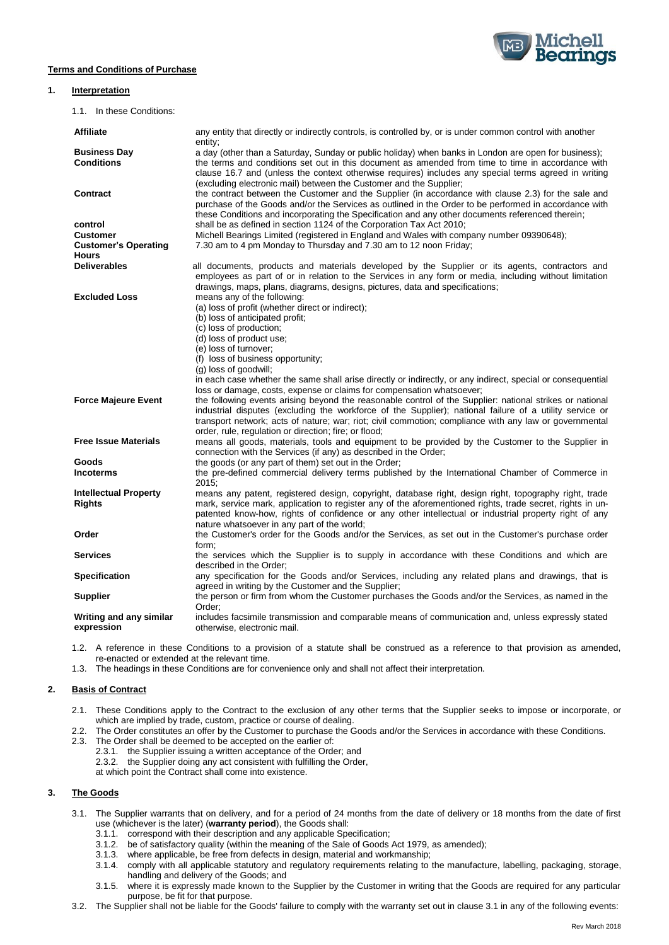## **Terms and Conditions of Purchase**



#### **1. Interpretation**

1.1. In these Conditions:

| <b>Affiliate</b>                              | any entity that directly or indirectly controls, is controlled by, or is under common control with another<br>entity;                                                                                                                                                                                                                                                                                                                                           |
|-----------------------------------------------|-----------------------------------------------------------------------------------------------------------------------------------------------------------------------------------------------------------------------------------------------------------------------------------------------------------------------------------------------------------------------------------------------------------------------------------------------------------------|
| <b>Business Day</b><br><b>Conditions</b>      | a day (other than a Saturday, Sunday or public holiday) when banks in London are open for business);<br>the terms and conditions set out in this document as amended from time to time in accordance with<br>clause 16.7 and (unless the context otherwise requires) includes any special terms agreed in writing<br>(excluding electronic mail) between the Customer and the Supplier;                                                                         |
| Contract                                      | the contract between the Customer and the Supplier (in accordance with clause 2.3) for the sale and<br>purchase of the Goods and/or the Services as outlined in the Order to be performed in accordance with<br>these Conditions and incorporating the Specification and any other documents referenced therein;                                                                                                                                                |
| control                                       | shall be as defined in section 1124 of the Corporation Tax Act 2010;                                                                                                                                                                                                                                                                                                                                                                                            |
| <b>Customer</b>                               | Michell Bearings Limited (registered in England and Wales with company number 09390648);                                                                                                                                                                                                                                                                                                                                                                        |
| <b>Customer's Operating</b><br><b>Hours</b>   | 7.30 am to 4 pm Monday to Thursday and 7.30 am to 12 noon Friday;                                                                                                                                                                                                                                                                                                                                                                                               |
| <b>Deliverables</b>                           | all documents, products and materials developed by the Supplier or its agents, contractors and<br>employees as part of or in relation to the Services in any form or media, including without limitation<br>drawings, maps, plans, diagrams, designs, pictures, data and specifications;                                                                                                                                                                        |
| <b>Excluded Loss</b>                          | means any of the following:<br>(a) loss of profit (whether direct or indirect);<br>(b) loss of anticipated profit;<br>(c) loss of production;<br>(d) loss of product use;<br>(e) loss of turnover;<br>(f) loss of business opportunity;<br>(g) loss of goodwill;<br>in each case whether the same shall arise directly or indirectly, or any indirect, special or consequential                                                                                 |
| <b>Force Majeure Event</b>                    | loss or damage, costs, expense or claims for compensation whatsoever;<br>the following events arising beyond the reasonable control of the Supplier: national strikes or national<br>industrial disputes (excluding the workforce of the Supplier); national failure of a utility service or<br>transport network; acts of nature; war; riot; civil commotion; compliance with any law or governmental<br>order, rule, regulation or direction; fire; or flood; |
| <b>Free Issue Materials</b>                   | means all goods, materials, tools and equipment to be provided by the Customer to the Supplier in<br>connection with the Services (if any) as described in the Order;                                                                                                                                                                                                                                                                                           |
| Goods                                         | the goods (or any part of them) set out in the Order;                                                                                                                                                                                                                                                                                                                                                                                                           |
| <b>Incoterms</b>                              | the pre-defined commercial delivery terms published by the International Chamber of Commerce in<br>2015:                                                                                                                                                                                                                                                                                                                                                        |
| <b>Intellectual Property</b><br><b>Rights</b> | means any patent, registered design, copyright, database right, design right, topography right, trade<br>mark, service mark, application to register any of the aforementioned rights, trade secret, rights in un-<br>patented know-how, rights of confidence or any other intellectual or industrial property right of any<br>nature whatsoever in any part of the world;                                                                                      |
| Order                                         | the Customer's order for the Goods and/or the Services, as set out in the Customer's purchase order<br>form;                                                                                                                                                                                                                                                                                                                                                    |
| <b>Services</b>                               | the services which the Supplier is to supply in accordance with these Conditions and which are<br>described in the Order;                                                                                                                                                                                                                                                                                                                                       |
| <b>Specification</b>                          | any specification for the Goods and/or Services, including any related plans and drawings, that is<br>agreed in writing by the Customer and the Supplier;                                                                                                                                                                                                                                                                                                       |
| <b>Supplier</b>                               | the person or firm from whom the Customer purchases the Goods and/or the Services, as named in the<br>Order:                                                                                                                                                                                                                                                                                                                                                    |
| Writing and any similar<br>expression         | includes facsimile transmission and comparable means of communication and, unless expressly stated<br>otherwise, electronic mail.                                                                                                                                                                                                                                                                                                                               |

1.2. A reference in these Conditions to a provision of a statute shall be construed as a reference to that provision as amended, re-enacted or extended at the relevant time.

1.3. The headings in these Conditions are for convenience only and shall not affect their interpretation.

## **2. Basis of Contract**

- 2.1. These Conditions apply to the Contract to the exclusion of any other terms that the Supplier seeks to impose or incorporate, or which are implied by trade, custom, practice or course of dealing.
- 2.2. The Order constitutes an offer by the Customer to purchase the Goods and/or the Services in accordance with these Conditions.
- 2.3. The Order shall be deemed to be accepted on the earlier of:
	- 2.3.1. the Supplier issuing a written acceptance of the Order; and
	- 2.3.2. the Supplier doing any act consistent with fulfilling the Order,

at which point the Contract shall come into existence.

### **3. The Goods**

- 3.1. The Supplier warrants that on delivery, and for a period of 24 months from the date of delivery or 18 months from the date of first use (whichever is the later) (**warranty period**), the Goods shall:
	- 3.1.1. correspond with their description and any applicable Specification;
	- 3.1.2. be of satisfactory quality (within the meaning of the Sale of Goods Act 1979, as amended);
	- 3.1.3. where applicable, be free from defects in design, material and workmanship;
	- 3.1.4. comply with all applicable statutory and regulatory requirements relating to the manufacture, labelling, packaging, storage, handling and delivery of the Goods; and
	- 3.1.5. where it is expressly made known to the Supplier by the Customer in writing that the Goods are required for any particular purpose, be fit for that purpose.
- 3.2. The Supplier shall not be liable for the Goods' failure to comply with the warranty set out in clause 3.1 in any of the following events: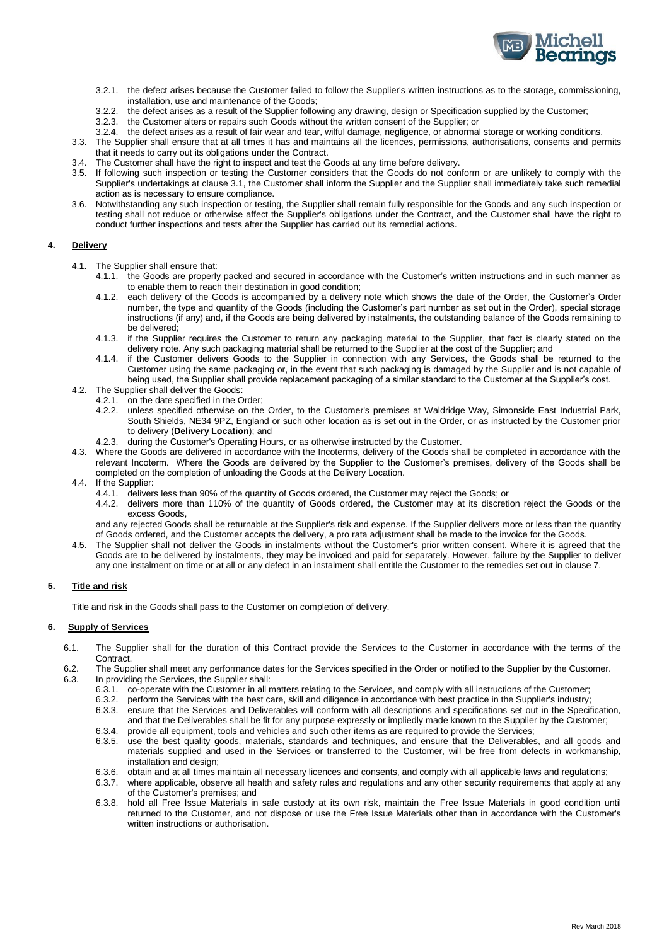

- 3.2.1. the defect arises because the Customer failed to follow the Supplier's written instructions as to the storage, commissioning, installation, use and maintenance of the Goods;
- 3.2.2. the defect arises as a result of the Supplier following any drawing, design or Specification supplied by the Customer;
- 3.2.3. the Customer alters or repairs such Goods without the written consent of the Supplier; or
- 3.2.4. the defect arises as a result of fair wear and tear, wilful damage, negligence, or abnormal storage or working conditions.
- 3.3. The Supplier shall ensure that at all times it has and maintains all the licences, permissions, authorisations, consents and permits that it needs to carry out its obligations under the Contract.
- 3.4. The Customer shall have the right to inspect and test the Goods at any time before delivery.
- 3.5. If following such inspection or testing the Customer considers that the Goods do not conform or are unlikely to comply with the Supplier's undertakings at clause 3.1, the Customer shall inform the Supplier and the Supplier shall immediately take such remedial action as is necessary to ensure compliance.
- 3.6. Notwithstanding any such inspection or testing, the Supplier shall remain fully responsible for the Goods and any such inspection or testing shall not reduce or otherwise affect the Supplier's obligations under the Contract, and the Customer shall have the right to conduct further inspections and tests after the Supplier has carried out its remedial actions.

# **4. Delivery**

- 4.1. The Supplier shall ensure that:
	- 4.1.1. the Goods are properly packed and secured in accordance with the Customer's written instructions and in such manner as to enable them to reach their destination in good condition;
	- 4.1.2. each delivery of the Goods is accompanied by a delivery note which shows the date of the Order, the Customer's Order number, the type and quantity of the Goods (including the Customer's part number as set out in the Order), special storage instructions (if any) and, if the Goods are being delivered by instalments, the outstanding balance of the Goods remaining to be delivered;
	- 4.1.3. if the Supplier requires the Customer to return any packaging material to the Supplier, that fact is clearly stated on the delivery note. Any such packaging material shall be returned to the Supplier at the cost of the Supplier; and
	- 4.1.4. if the Customer delivers Goods to the Supplier in connection with any Services, the Goods shall be returned to the Customer using the same packaging or, in the event that such packaging is damaged by the Supplier and is not capable of being used, the Supplier shall provide replacement packaging of a similar standard to the Customer at the Supplier's cost.
- <span id="page-1-0"></span>4.2. The Supplier shall deliver the Goods:
	- 4.2.1. on the date specified in the Order;
		- 4.2.2. unless specified otherwise on the Order, to the Customer's premises at Waldridge Way, Simonside East Industrial Park, South Shields, NE34 9PZ, England or such other location as is set out in the Order, or as instructed by the Customer prior to delivery (**Delivery Location**); and
		- 4.2.3. during the Customer's Operating Hours, or as otherwise instructed by the Customer.
- 4.3. Where the Goods are delivered in accordance with the Incoterms, delivery of the Goods shall be completed in accordance with the relevant Incoterm. Where the Goods are delivered by the Supplier to the Customer's premises, delivery of the Goods shall be completed on the completion of unloading the Goods at the Delivery Location.
- 4.4. If the Supplier:
	- 4.4.1. delivers less than 90% of the quantity of Goods ordered, the Customer may reject the Goods; or
	- 4.4.2. delivers more than 110% of the quantity of Goods ordered, the Customer may at its discretion reject the Goods or the excess Goods,

and any rejected Goods shall be returnable at the Supplier's risk and expense. If the Supplier delivers more or less than the quantity of Goods ordered, and the Customer accepts the delivery, a pro rata adjustment shall be made to the invoice for the Goods.

4.5. The Supplier shall not deliver the Goods in instalments without the Customer's prior written consent. Where it is agreed that the Goods are to be delivered by instalments, they may be invoiced and paid for separately. However, failure by the Supplier to deliver any one instalment on time or at all or any defect in an instalment shall entitle the Customer to the remedies set out in clause 7.

### **5. Title and risk**

Title and risk in the Goods shall pass to the Customer on completion of delivery.

### **6. Supply of Services**

6.1. The Supplier shall for the duration of this Contract provide the Services to the Customer in accordance with the terms of the Contract.

<span id="page-1-1"></span>6.2. The Supplier shall meet any performance dates for the Services specified in the Order or notified to the Supplier by the Customer.

- <span id="page-1-2"></span>6.3. In providing the Services, the Supplier shall:
	- 6.3.1. co-operate with the Customer in all matters relating to the Services, and comply with all instructions of the Customer;
	- 6.3.2. perform the Services with the best care, skill and diligence in accordance with best practice in the Supplier's industry; 6.3.3. ensure that the Services and Deliverables will conform with all descriptions and specifications set out in the Specification, and that the Deliverables shall be fit for any purpose expressly or impliedly made known to the Supplier by the Customer;
	-
	- 6.3.4. provide all equipment, tools and vehicles and such other items as are required to provide the Services;<br>6.3.5. use the best quality goods, materials, standards and techniques, and ensure that the Deliverable use the best quality goods, materials, standards and techniques, and ensure that the Deliverables, and all goods and materials supplied and used in the Services or transferred to the Customer, will be free from defects in workmanship, installation and design:
	- 6.3.6. obtain and at all times maintain all necessary licences and consents, and comply with all applicable laws and regulations;
	- 6.3.7. where applicable, observe all health and safety rules and regulations and any other security requirements that apply at any of the Customer's premises; and
	- 6.3.8. hold all Free Issue Materials in safe custody at its own risk, maintain the Free Issue Materials in good condition until returned to the Customer, and not dispose or use the Free Issue Materials other than in accordance with the Customer's written instructions or authorisation.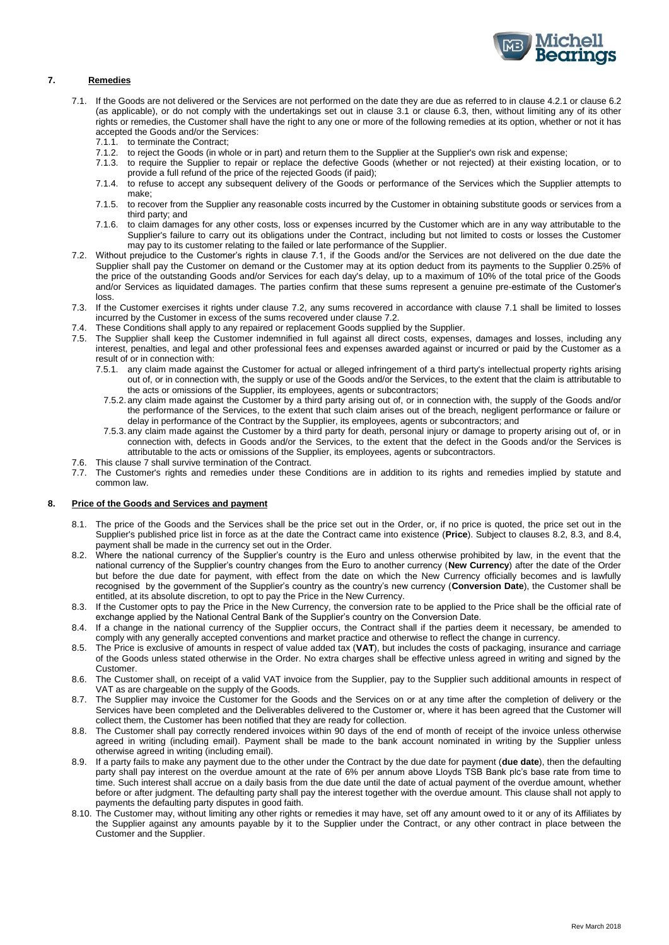

# **7. Remedies**

- 7.1. If the Goods are not delivered or the Services are not performed on the date they are due as referred to in clause [4.2.1](#page-1-0) or clause [6.2](#page-1-1) (as applicable), or do not comply with the undertakings set out in clause 3.1 or clause [6.3,](#page-1-2) then, without limiting any of its other rights or remedies, the Customer shall have the right to any one or more of the following remedies at its option, whether or not it has accepted the Goods and/or the Services:
	- 7.1.1. to terminate the Contract;
	- 7.1.2. to reject the Goods (in whole or in part) and return them to the Supplier at the Supplier's own risk and expense;
	- 7.1.3. to require the Supplier to repair or replace the defective Goods (whether or not rejected) at their existing location, or to provide a full refund of the price of the rejected Goods (if paid);
	- 7.1.4. to refuse to accept any subsequent delivery of the Goods or performance of the Services which the Supplier attempts to make;
	- 7.1.5. to recover from the Supplier any reasonable costs incurred by the Customer in obtaining substitute goods or services from a third party; and
	- 7.1.6. to claim damages for any other costs, loss or expenses incurred by the Customer which are in any way attributable to the Supplier's failure to carry out its obligations under the Contract, including but not limited to costs or losses the Customer may pay to its customer relating to the failed or late performance of the Supplier.
- 7.2. Without prejudice to the Customer's rights in clause 7.1, if the Goods and/or the Services are not delivered on the due date the Supplier shall pay the Customer on demand or the Customer may at its option deduct from its payments to the Supplier 0.25% of the price of the outstanding Goods and/or Services for each day's delay, up to a maximum of 10% of the total price of the Goods and/or Services as liquidated damages. The parties confirm that these sums represent a genuine pre-estimate of the Customer's loss.
- 7.3. If the Customer exercises it rights under clause 7.2, any sums recovered in accordance with clause 7.1 shall be limited to losses incurred by the Customer in excess of the sums recovered under clause 7.2.
- 
- 7.4. These Conditions shall apply to any repaired or replacement Goods supplied by the Supplier.<br>7.5. The Supplier shall keep the Customer indemnified in full against all direct costs, expenses The Supplier shall keep the Customer indemnified in full against all direct costs, expenses, damages and losses, including any interest, penalties, and legal and other professional fees and expenses awarded against or incurred or paid by the Customer as a result of or in connection with:
	- 7.5.1. any claim made against the Customer for actual or alleged infringement of a third party's intellectual property rights arising out of, or in connection with, the supply or use of the Goods and/or the Services, to the extent that the claim is attributable to the acts or omissions of the Supplier, its employees, agents or subcontractors;
		- 7.5.2. any claim made against the Customer by a third party arising out of, or in connection with, the supply of the Goods and/or the performance of the Services, to the extent that such claim arises out of the breach, negligent performance or failure or delay in performance of the Contract by the Supplier, its employees, agents or subcontractors; and
	- 7.5.3. any claim made against the Customer by a third party for death, personal injury or damage to property arising out of, or in connection with, defects in Goods and/or the Services, to the extent that the defect in the Goods and/or the Services is attributable to the acts or omissions of the Supplier, its employees, agents or subcontractors.
- 7.6. This clause 7 shall survive termination of the Contract.<br>7.7. The Customer's rights and remedies under these C.
- The Customer's rights and remedies under these Conditions are in addition to its rights and remedies implied by statute and common law.

### **8. Price of the Goods and Services and payment**

- 8.1. The price of the Goods and the Services shall be the price set out in the Order, or, if no price is quoted, the price set out in the Supplier's published price list in force as at the date the Contract came into existence (**Price**). Subject to clauses 8.2, 8.3, and 8.4, payment shall be made in the currency set out in the Order.
- 8.2. Where the national currency of the Supplier's country is the Euro and unless otherwise prohibited by law, in the event that the national currency of the Supplier's country changes from the Euro to another currency (**New Currency**) after the date of the Order but before the due date for payment, with effect from the date on which the New Currency officially becomes and is lawfully recognised by the government of the Supplier's country as the country's new currency (**Conversion Date**), the Customer shall be entitled, at its absolute discretion, to opt to pay the Price in the New Currency.
- 8.3. If the Customer opts to pay the Price in the New Currency, the conversion rate to be applied to the Price shall be the official rate of exchange applied by the National Central Bank of the Supplier's country on the Conversion Date.
- 8.4. If a change in the national currency of the Supplier occurs, the Contract shall if the parties deem it necessary, be amended to comply with any generally accepted conventions and market practice and otherwise to reflect the change in currency.
- 8.5. The Price is exclusive of amounts in respect of value added tax (**VAT**), but includes the costs of packaging, insurance and carriage of the Goods unless stated otherwise in the Order. No extra charges shall be effective unless agreed in writing and signed by the Customer.
- 8.6. The Customer shall, on receipt of a valid VAT invoice from the Supplier, pay to the Supplier such additional amounts in respect of VAT as are chargeable on the supply of the Goods.
- 8.7. The Supplier may invoice the Customer for the Goods and the Services on or at any time after the completion of delivery or the Services have been completed and the Deliverables delivered to the Customer or, where it has been agreed that the Customer will collect them, the Customer has been notified that they are ready for collection.
- 8.8. The Customer shall pay correctly rendered invoices within 90 days of the end of month of receipt of the invoice unless otherwise agreed in writing (including email). Payment shall be made to the bank account nominated in writing by the Supplier unless otherwise agreed in writing (including email).
- 8.9. If a party fails to make any payment due to the other under the Contract by the due date for payment (**due date**), then the defaulting party shall pay interest on the overdue amount at the rate of 6% per annum above Lloyds TSB Bank plc's base rate from time to time. Such interest shall accrue on a daily basis from the due date until the date of actual payment of the overdue amount, whether before or after judgment. The defaulting party shall pay the interest together with the overdue amount. This clause shall not apply to payments the defaulting party disputes in good faith.
- 8.10. The Customer may, without limiting any other rights or remedies it may have, set off any amount owed to it or any of its Affiliates by the Supplier against any amounts payable by it to the Supplier under the Contract, or any other contract in place between the Customer and the Supplier.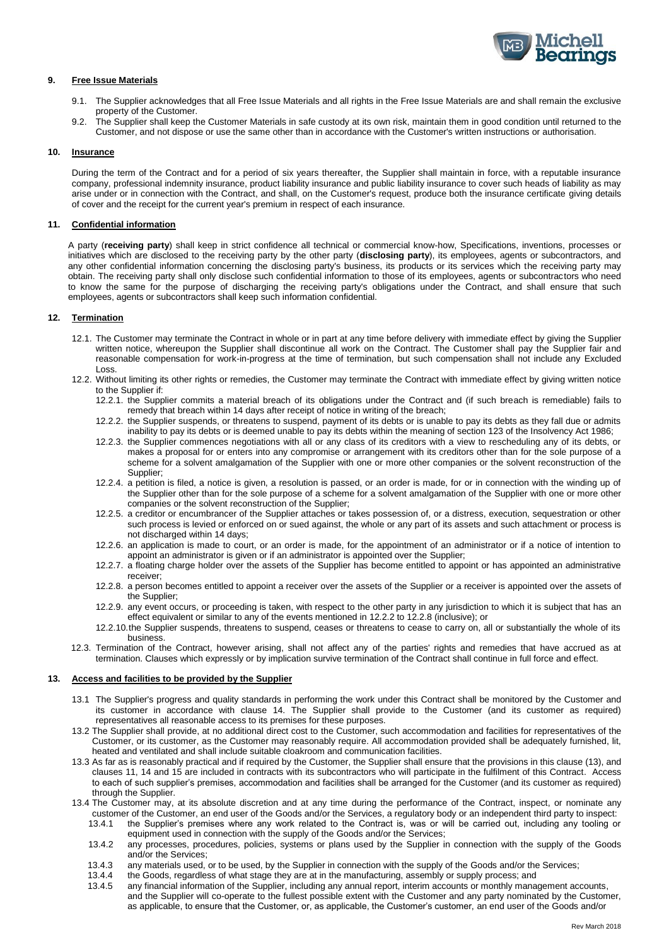

### **9. Free Issue Materials**

- 9.1. The Supplier acknowledges that all Free Issue Materials and all rights in the Free Issue Materials are and shall remain the exclusive property of the Customer.
- 9.2. The Supplier shall keep the Customer Materials in safe custody at its own risk, maintain them in good condition until returned to the Customer, and not dispose or use the same other than in accordance with the Customer's written instructions or authorisation.

### **10. Insurance**

During the term of the Contract and for a period of six years thereafter, the Supplier shall maintain in force, with a reputable insurance company, professional indemnity insurance, product liability insurance and public liability insurance to cover such heads of liability as may arise under or in connection with the Contract, and shall, on the Customer's request, produce both the insurance certificate giving details of cover and the receipt for the current year's premium in respect of each insurance.

#### **11. Confidential information**

A party (**receiving party**) shall keep in strict confidence all technical or commercial know-how, Specifications, inventions, processes or initiatives which are disclosed to the receiving party by the other party (**disclosing party**), its employees, agents or subcontractors, and any other confidential information concerning the disclosing party's business, its products or its services which the receiving party may obtain. The receiving party shall only disclose such confidential information to those of its employees, agents or subcontractors who need to know the same for the purpose of discharging the receiving party's obligations under the Contract, and shall ensure that such employees, agents or subcontractors shall keep such information confidential.

#### **12. Termination**

- 12.1. The Customer may terminate the Contract in whole or in part at any time before delivery with immediate effect by giving the Supplier written notice, whereupon the Supplier shall discontinue all work on the Contract. The Customer shall pay the Supplier fair and reasonable compensation for work-in-progress at the time of termination, but such compensation shall not include any Excluded Loss.
- <span id="page-3-0"></span>12.2. Without limiting its other rights or remedies, the Customer may terminate the Contract with immediate effect by giving written notice to the Supplier if:
	- 12.2.1. the Supplier commits a material breach of its obligations under the Contract and (if such breach is remediable) fails to remedy that breach within 14 days after receipt of notice in writing of the breach;
	- 12.2.2. the Supplier suspends, or threatens to suspend, payment of its debts or is unable to pay its debts as they fall due or admits inability to pay its debts or is deemed unable to pay its debts within the meaning of section 123 of the Insolvency Act 1986;
	- 12.2.3. the Supplier commences negotiations with all or any class of its creditors with a view to rescheduling any of its debts, or makes a proposal for or enters into any compromise or arrangement with its creditors other than for the sole purpose of a scheme for a solvent amalgamation of the Supplier with one or more other companies or the solvent reconstruction of the Supplier;
	- 12.2.4. a petition is filed, a notice is given, a resolution is passed, or an order is made, for or in connection with the winding up of the Supplier other than for the sole purpose of a scheme for a solvent amalgamation of the Supplier with one or more other companies or the solvent reconstruction of the Supplier;
	- 12.2.5. a creditor or encumbrancer of the Supplier attaches or takes possession of, or a distress, execution, sequestration or other such process is levied or enforced on or sued against, the whole or any part of its assets and such attachment or process is not discharged within 14 days;
	- 12.2.6. an application is made to court, or an order is made, for the appointment of an administrator or if a notice of intention to appoint an administrator is given or if an administrator is appointed over the Supplier;
	- 12.2.7. a floating charge holder over the assets of the Supplier has become entitled to appoint or has appointed an administrative receiver;
	- 12.2.8. a person becomes entitled to appoint a receiver over the assets of the Supplier or a receiver is appointed over the assets of the Supplier;
	- 12.2.9. any event occurs, or proceeding is taken, with respect to the other party in any jurisdiction to which it is subject that has an effect equivalent or similar to any of the events mentioned i[n 12.2.2](#page-3-0) to [12.2.8](#page-3-1) (inclusive); or
	- 12.2.10.the Supplier suspends, threatens to suspend, ceases or threatens to cease to carry on, all or substantially the whole of its business.
- <span id="page-3-1"></span>12.3. Termination of the Contract, however arising, shall not affect any of the parties' rights and remedies that have accrued as at termination. Clauses which expressly or by implication survive termination of the Contract shall continue in full force and effect.

### **13. Access and facilities to be provided by the Supplier**

- 13.1 The Supplier's progress and quality standards in performing the work under this Contract shall be monitored by the Customer and its customer in accordance with clause 14. The Supplier shall provide to the Customer (and its customer as required) representatives all reasonable access to its premises for these purposes.
- 13.2 The Supplier shall provide, at no additional direct cost to the Customer, such accommodation and facilities for representatives of the Customer, or its customer, as the Customer may reasonably require. All accommodation provided shall be adequately furnished, lit, heated and ventilated and shall include suitable cloakroom and communication facilities.
- 13.3 As far as is reasonably practical and if required by the Customer, the Supplier shall ensure that the provisions in this clause (13), and clauses 11, 14 and 15 are included in contracts with its subcontractors who will participate in the fulfilment of this Contract. Access to each of such supplier's premises, accommodation and facilities shall be arranged for the Customer (and its customer as required) through the Supplier.
- 13.4 The Customer may, at its absolute discretion and at any time during the performance of the Contract, inspect, or nominate any customer of the Customer, an end user of the Goods and/or the Services, a regulatory body or an independent third party to inspect:
	- 13.4.1 the Supplier's premises where any work related to the Contract is, was or will be carried out, including any tooling or equipment used in connection with the supply of the Goods and/or the Services;
	- 13.4.2 any processes, procedures, policies, systems or plans used by the Supplier in connection with the supply of the Goods and/or the Services;
	- 13.4.3 any materials used, or to be used, by the Supplier in connection with the supply of the Goods and/or the Services;
	- 13.4.4 the Goods, regardless of what stage they are at in the manufacturing, assembly or supply process; and<br>13.4.5 any financial information of the Supplier, including any annual report, interim accounts or monthly mana
	- any financial information of the Supplier, including any annual report, interim accounts or monthly management accounts, and the Supplier will co-operate to the fullest possible extent with the Customer and any party nominated by the Customer, as applicable, to ensure that the Customer, or, as applicable, the Customer's customer, an end user of the Goods and/or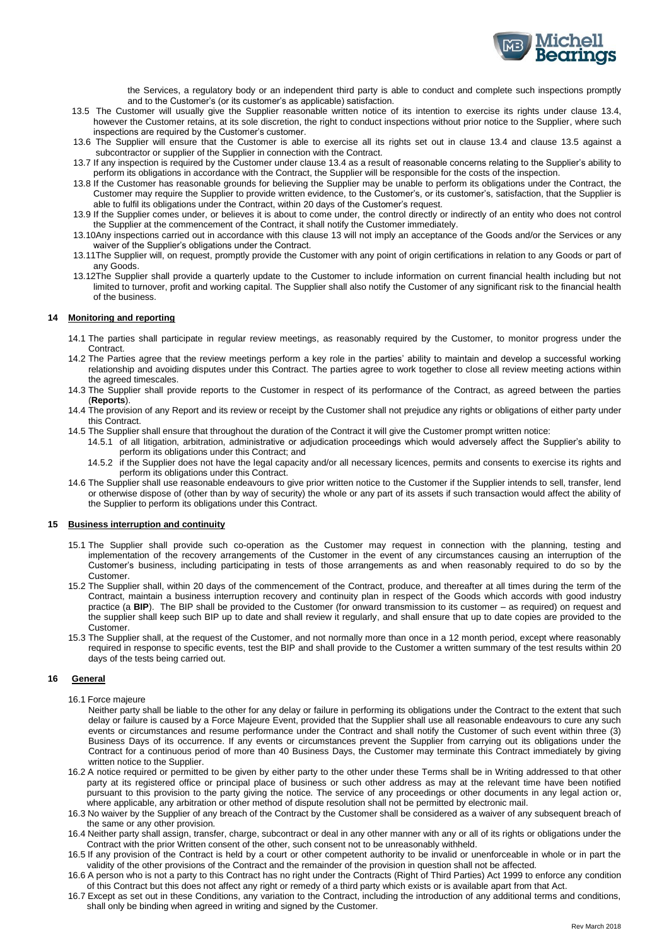

the Services, a regulatory body or an independent third party is able to conduct and complete such inspections promptly and to the Customer's (or its customer's as applicable) satisfaction.

- 13.5 The Customer will usually give the Supplier reasonable written notice of its intention to exercise its rights under clause 13.4, however the Customer retains, at its sole discretion, the right to conduct inspections without prior notice to the Supplier, where such inspections are required by the Customer's customer.
- 13.6 The Supplier will ensure that the Customer is able to exercise all its rights set out in clause 13.4 and clause 13.5 against a subcontractor or supplier of the Supplier in connection with the Contract.
- 13.7 If any inspection is required by the Customer under clause 13.4 as a result of reasonable concerns relating to the Supplier's ability to perform its obligations in accordance with the Contract, the Supplier will be responsible for the costs of the inspection.
- 13.8 If the Customer has reasonable grounds for believing the Supplier may be unable to perform its obligations under the Contract, the Customer may require the Supplier to provide written evidence, to the Customer's, or its customer's, satisfaction, that the Supplier is able to fulfil its obligations under the Contract, within 20 days of the Customer's request.
- 13.9 If the Supplier comes under, or believes it is about to come under, the control directly or indirectly of an entity who does not control the Supplier at the commencement of the Contract, it shall notify the Customer immediately.
- 13.10Any inspections carried out in accordance with this clause 13 will not imply an acceptance of the Goods and/or the Services or any waiver of the Supplier's obligations under the Contract.
- 13.11The Supplier will, on request, promptly provide the Customer with any point of origin certifications in relation to any Goods or part of any Goods.
- 13.12The Supplier shall provide a quarterly update to the Customer to include information on current financial health including but not limited to turnover, profit and working capital. The Supplier shall also notify the Customer of any significant risk to the financial health of the business.

## **14 Monitoring and reporting**

- 14.1 The parties shall participate in regular review meetings, as reasonably required by the Customer, to monitor progress under the Contract.
- 14.2 The Parties agree that the review meetings perform a key role in the parties' ability to maintain and develop a successful working relationship and avoiding disputes under this Contract. The parties agree to work together to close all review meeting actions within the agreed timescales.
- 14.3 The Supplier shall provide reports to the Customer in respect of its performance of the Contract, as agreed between the parties (**Reports**).
- 14.4 The provision of any Report and its review or receipt by the Customer shall not prejudice any rights or obligations of either party under this Contract.
- 14.5 The Supplier shall ensure that throughout the duration of the Contract it will give the Customer prompt written notice:
	- 14.5.1 of all litigation, arbitration, administrative or adjudication proceedings which would adversely affect the Supplier's ability to perform its obligations under this Contract; and
	- 14.5.2 if the Supplier does not have the legal capacity and/or all necessary licences, permits and consents to exercise its rights and perform its obligations under this Contract.
- 14.6 The Supplier shall use reasonable endeavours to give prior written notice to the Customer if the Supplier intends to sell, transfer, lend or otherwise dispose of (other than by way of security) the whole or any part of its assets if such transaction would affect the ability of the Supplier to perform its obligations under this Contract.

### **15 Business interruption and continuity**

- 15.1 The Supplier shall provide such co-operation as the Customer may request in connection with the planning, testing and implementation of the recovery arrangements of the Customer in the event of any circumstances causing an interruption of the Customer's business, including participating in tests of those arrangements as and when reasonably required to do so by the Customer.
- 15.2 The Supplier shall, within 20 days of the commencement of the Contract, produce, and thereafter at all times during the term of the Contract, maintain a business interruption recovery and continuity plan in respect of the Goods which accords with good industry practice (a **BIP**). The BIP shall be provided to the Customer (for onward transmission to its customer – as required) on request and the supplier shall keep such BIP up to date and shall review it regularly, and shall ensure that up to date copies are provided to the Customer.
- 15.3 The Supplier shall, at the request of the Customer, and not normally more than once in a 12 month period, except where reasonably required in response to specific events, test the BIP and shall provide to the Customer a written summary of the test results within 20 days of the tests being carried out.

### **16 General**

- 16.1 Force majeure
	- Neither party shall be liable to the other for any delay or failure in performing its obligations under the Contract to the extent that such delay or failure is caused by a Force Majeure Event, provided that the Supplier shall use all reasonable endeavours to cure any such events or circumstances and resume performance under the Contract and shall notify the Customer of such event within three (3) Business Days of its occurrence. If any events or circumstances prevent the Supplier from carrying out its obligations under the Contract for a continuous period of more than 40 Business Days, the Customer may terminate this Contract immediately by giving written notice to the Supplier.
- 16.2 A notice required or permitted to be given by either party to the other under these Terms shall be in Writing addressed to that other party at its registered office or principal place of business or such other address as may at the relevant time have been notified pursuant to this provision to the party giving the notice. The service of any proceedings or other documents in any legal action or, where applicable, any arbitration or other method of dispute resolution shall not be permitted by electronic mail.
- 16.3 No waiver by the Supplier of any breach of the Contract by the Customer shall be considered as a waiver of any subsequent breach of the same or any other provision.
- 16.4 Neither party shall assign, transfer, charge, subcontract or deal in any other manner with any or all of its rights or obligations under the Contract with the prior Written consent of the other, such consent not to be unreasonably withheld.
- 16.5 If any provision of the Contract is held by a court or other competent authority to be invalid or unenforceable in whole or in part the validity of the other provisions of the Contract and the remainder of the provision in question shall not be affected.
- 16.6 A person who is not a party to this Contract has no right under the Contracts (Right of Third Parties) Act 1999 to enforce any condition of this Contract but this does not affect any right or remedy of a third party which exists or is available apart from that Act.
- <span id="page-4-0"></span>16.7 Except as set out in these Conditions, any variation to the Contract, including the introduction of any additional terms and conditions, shall only be binding when agreed in writing and signed by the Customer.